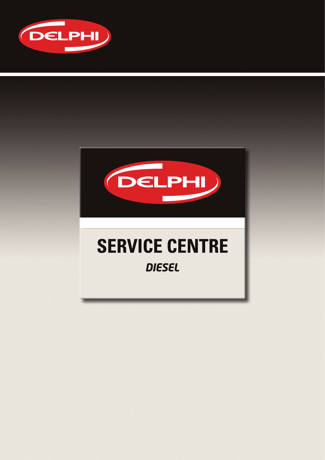



### **SERVICE CENTRE** *DIESEL*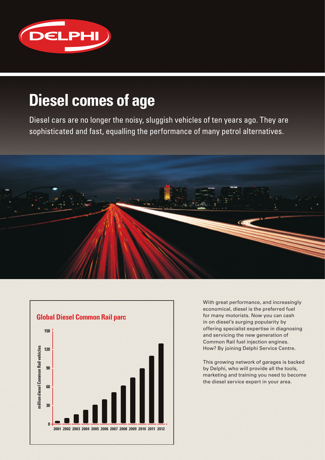

### **Diesel comes of age**

Diesel cars are no longer the noisy, sluggish vehicles of ten years ago. They are sophisticated and fast, equalling the performance of many petrol alternatives.





With great performance, and increasingly economical, diesel is the preferred fuel for many motorists. Now you can cash in on diesel's surging popularity by offering specialist expertise in diagnosing and servicing the new generation of Common Rail fuel injection engines. How? By joining Delphi Service Centre.

This growing network of garages is backed by Delphi, who will provide all the tools, marketing and training you need to become the diesel service expert in your area.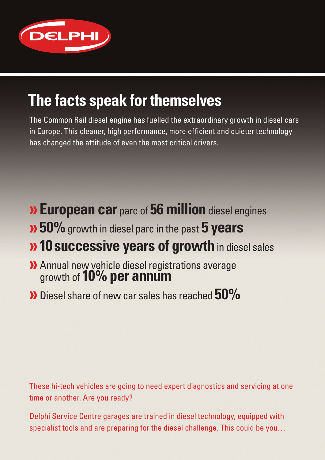

### **The facts speak for themselves**

The Common Rail diesel engine has fuelled the extraordinary growth in diesel cars in Europe. This cleaner, high performance, more efficient and quieter technology has changed the attitude of even the most critical drivers.

- **»European car** parc of **56 million** diesel engines
- **»50%** growth in diesel parc in the past **5 years**

### **»10 successive years of growth** in diesel sales

- **»**Annual new vehicle diesel registrations average growth of **10% per annum**
- **»**Diesel share of new car sales has reached **50%**

These hi-tech vehicles are going to need expert diagnostics and servicing at one time or another. Are you ready?

Delphi Service Centre garages are trained in diesel technology, equipped with specialist tools and are preparing for the diesel challenge. This could be you…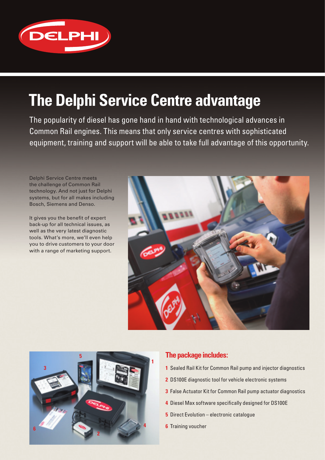

### **The Delphi Service Centre advantage**

The popularity of diesel has gone hand in hand with technological advances in Common Rail engines. This means that only service centres with sophisticated equipment, training and support will be able to take full advantage of this opportunity.

Delphi Service Centre meets the challenge of Common Rail technology. And not just for Delphi systems, but for all makes including Bosch, Siemens and Denso.

It gives you the benefit of expert back-up for all technical issues, as well as the very latest diagnostic tools. What's more, we'll even help you to drive customers to your door with a range of marketing support.





### **The package includes:**

- **1** Sealed Rail Kit for Common Rail pump and injector diagnostics
- **2** DS100E diagnostic tool for vehicle electronic systems
- **3** False Actuator Kit for Common Rail pump actuator diagnostics
- **4** Diesel Max software specifically designed for DS100E
- **5** Direct Evolution electronic catalogue
- **6** Training voucher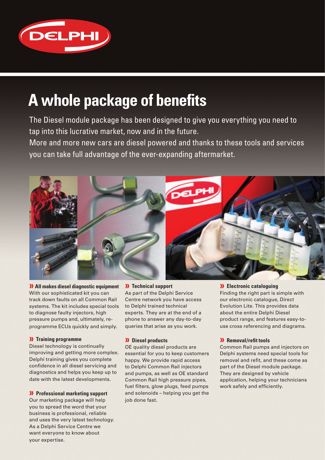

### **A whole package of benefits**

The Diesel module package has been designed to give you everything you need to tap into this lucrative market, now and in the future.

More and more new cars are diesel powered and thanks to these tools and services you can take full advantage of the ever-expanding aftermarket.



**» All makes diesel diagnostic equipment** With our sophisticated kit you can track down faults on all Common Rail systems. The kit includes special tools to diagnose faulty injectors, high pressure pumps and, ultimately, reprogramme ECUs quickly and simply.

#### **» Training programme**

Diesel technology is continually improving and getting more complex. Delphi training gives you complete confidence in all diesel servicing and diagnostics and helps you keep up to date with the latest developments.

#### **» Professional marketing support**

Our marketing package will help you to spread the word that your business is professional, reliable and uses the very latest technology. As a Delphi Service Centre we want everyone to know about your expertise.

#### **» Technical support**

As part of the Delphi Service Centre network you have access to Delphi trained technical experts. They are at the end of a phone to answer any day-to-day queries that arise as you work.

#### **» Diesel products**

OE quality diesel products are essential for you to keep customers happy. We provide rapid access to Delphi Common Rail injectors and pumps, as well as OE standard Common Rail high pressure pipes, fuel filters, glow plugs, feed pumps and solenoids – helping you get the job done fast.

#### **» Electronic cataloguing**

Finding the right part is simple with our electronic catalogue, Direct Evolution Lite. This provides data about the entire Delphi Diesel product range, and features easy-touse cross referencing and diagrams.

#### **» Removal/refit tools**

Common Rail pumps and injectors on Delphi systems need special tools for removal and refit, and these come as part of the Diesel module package. They are designed by vehicle application, helping your technicians work safely and efficiently.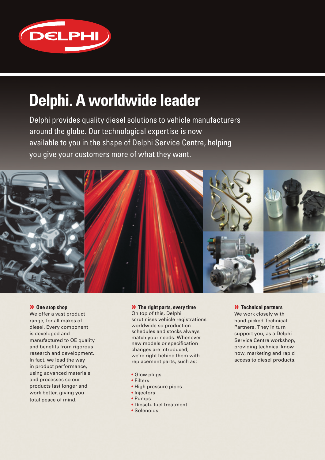

### **Delphi. A worldwide leader**

Delphi provides quality diesel solutions to vehicle manufacturers around the globe. Our technological expertise is now available to you in the shape of Delphi Service Centre, helping you give your customers more of what they want.



#### **» One stop shop**

We offer a vast product range, for all makes of diesel. Every component is developed and manufactured to OE quality and benefits from rigorous research and development. In fact, we lead the way in product performance, using advanced materials and processes so our products last longer and work better, giving you total peace of mind.

#### **» The right parts, every time** On top of this, Delphi scrutinises vehicle registrations worldwide so production schedules and stocks always match your needs. Whenever new models or specification changes are introduced, we're right behind them with replacement parts, such as:

- Glow plugs
- Filters
- High pressure pipes
- Injectors
- Pumps
- Diesel+ fuel treatment
- Solenoids

#### **» Technical partners**

We work closely with hand-picked Technical Partners. They in turn support you, as a Delphi Service Centre workshop, providing technical know how, marketing and rapid access to diesel products.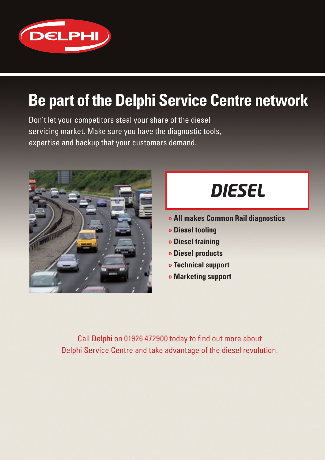

## **Be part of the Delphi Service Centre network**

Don't let your competitors steal your share of the diesel servicing market. Make sure you have the diagnostic tools, expertise and backup that your customers demand.



# *DIESEL*

- **» All makes Common Rail diagnostics**
- **» Diesel tooling**
- **» Diesel training**
- **» Diesel products**
- **» Technical support**
- **» Marketing support**

Call Delphi on 01926 472900 today to find out more about Delphi Service Centre and take advantage of the diesel revolution.